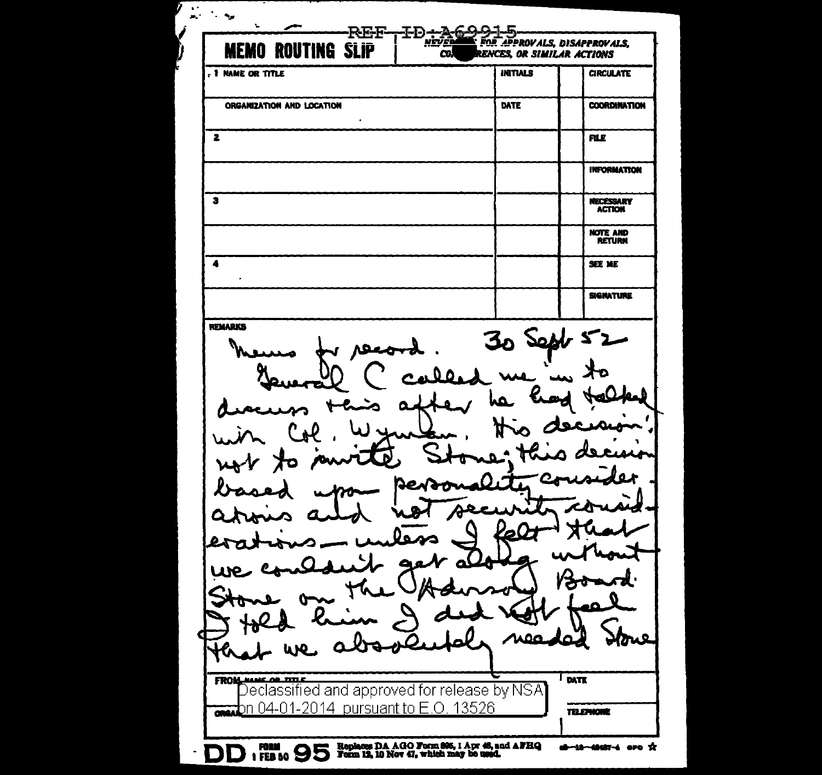$\ddot{\phantom{1}}$  .  $\sim$   $\sim$  $\mathbf{m}^{(1)}$ v. T<sup>I-D</sup>river **REF-**FOR APPROVALS, DISAPPROVALS. **MEMO ROUTING SLIP**  $\overline{\mathbf{c}}$ **RENCES. OR SIMILAR ACTIONS** , I NAME OR TITLE **INITIALS CIRCULATE** ORGANIZATION AND LOCATION DATE **COORDINATION**  $\mathbf{r}$  $\overline{\mathbf{z}}$ **FILE INFORMATION**  $\overline{\mathbf{a}}$ **NECESSARY** NOTE AND  $\ddot{\phantom{a}}$ **SEE ME SIGNATURE** REMARKS 30 Sept 52 ᄉ 0 O احماده **A** Rew C zī FROM NAME OF TITLE DATE Declassified and approved for release by NSA analon 04-01-2014 pursuant to E.O. 13526 **TELEPHONE** DD 1 FBB 50 95 Replaces DA AGO Form 896, 1 Apr 46, and AFHQ **d-18-48487-4** are X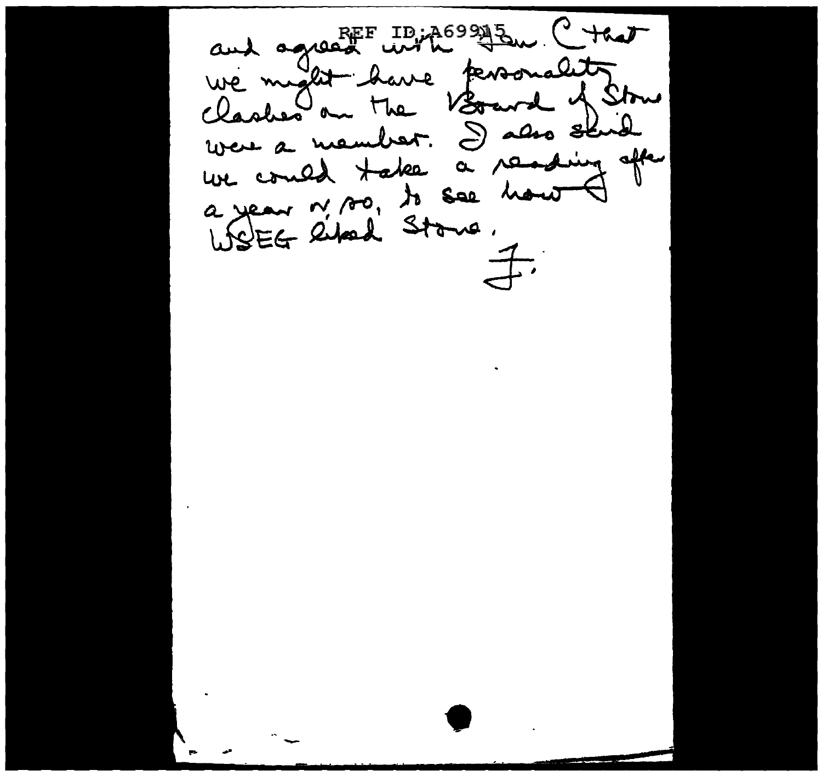and agreed with terroriality were a member. I also shid we could take a reading after a year n'AO, to see hour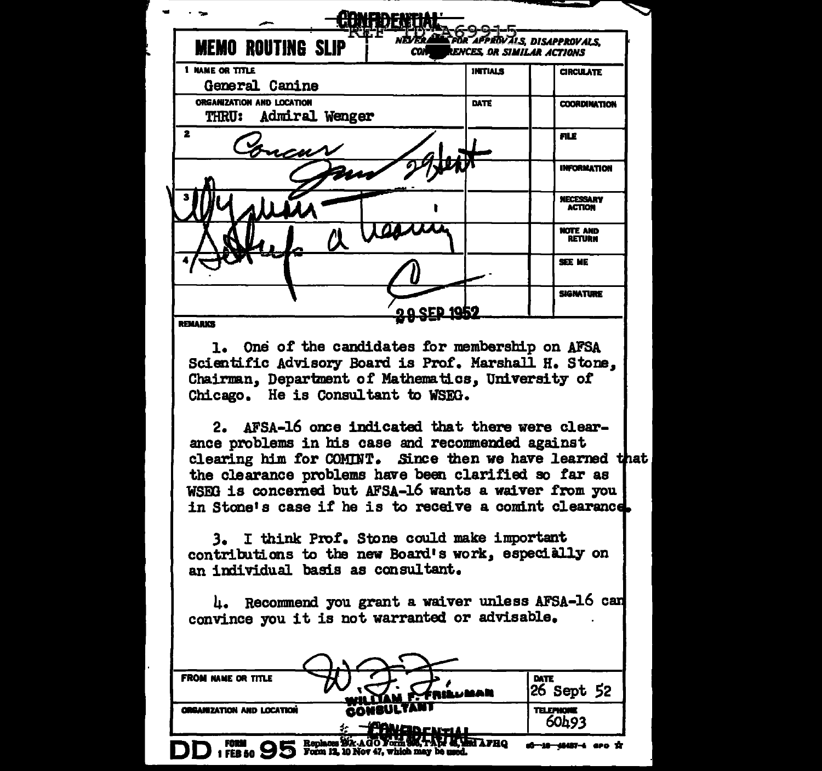| <b>MEMO ROUTING SLIP</b>                                                                                                                                                                                                                                                                                                                                                                                                                                                                     | മ                   |         | ALS, DISAPPROVALS.<br>ENCES, OR SIMILAR ACTIONS |
|----------------------------------------------------------------------------------------------------------------------------------------------------------------------------------------------------------------------------------------------------------------------------------------------------------------------------------------------------------------------------------------------------------------------------------------------------------------------------------------------|---------------------|---------|-------------------------------------------------|
| 1 NAME OR TITLE                                                                                                                                                                                                                                                                                                                                                                                                                                                                              |                     | INTIALS | <b>CIRCULATE</b>                                |
| General Canine<br>ORGANIZATION AND LOCATION                                                                                                                                                                                                                                                                                                                                                                                                                                                  |                     | DATE    | <b>COORDINATION</b>                             |
| THRU: Admiral Wenger                                                                                                                                                                                                                                                                                                                                                                                                                                                                         |                     |         |                                                 |
| 2                                                                                                                                                                                                                                                                                                                                                                                                                                                                                            |                     |         | <b>FILE</b>                                     |
|                                                                                                                                                                                                                                                                                                                                                                                                                                                                                              |                     |         | <b>INFORMATION</b>                              |
|                                                                                                                                                                                                                                                                                                                                                                                                                                                                                              |                     |         | <b>NECESSARY</b><br><b>ACTION</b>               |
|                                                                                                                                                                                                                                                                                                                                                                                                                                                                                              |                     |         | <b>NOTE AND</b><br><b>RETURN</b>                |
|                                                                                                                                                                                                                                                                                                                                                                                                                                                                                              |                     |         | <b>SEE ME</b>                                   |
|                                                                                                                                                                                                                                                                                                                                                                                                                                                                                              | <u>o a SED 1952</u> |         | <b>SIGNATURE</b>                                |
| <b>REMARKS</b><br>1. One of the candidates for membership on AFSA<br>Scientific Advisory Board is Prof. Marshall H. Stone,<br>Chairman, Department of Mathematics, University of<br>Chicago. He is Consultant to WSEG.<br>2. AFSA-16 once indicated that there were clear-                                                                                                                                                                                                                   |                     |         |                                                 |
| ance problems in his case and recommended against<br>clearing him for COMINT. Since then we have learned that<br>the clearance problems have been clarified so far as<br>WSEG is concerned but AFSA-16 wants a waiver from you<br>in Stone's case if he is to receive a comint clearance.<br>3. I think Prof. Stone could make important<br>contributions to the new Board's work, especially on<br>an individual basis as consultant.<br>4. Recommend you grant a waiver unless AFSA-16 can |                     |         |                                                 |
| convince you it is not warranted or advisable.<br><b>FROM NAME OR TITLE</b>                                                                                                                                                                                                                                                                                                                                                                                                                  |                     |         | <b>DATE</b>                                     |
| <b>ORGANIZATION AND LOCATION</b>                                                                                                                                                                                                                                                                                                                                                                                                                                                             | ناعتنا ستن          |         | 26 Sept 52<br><b>TELEPHONE</b>                  |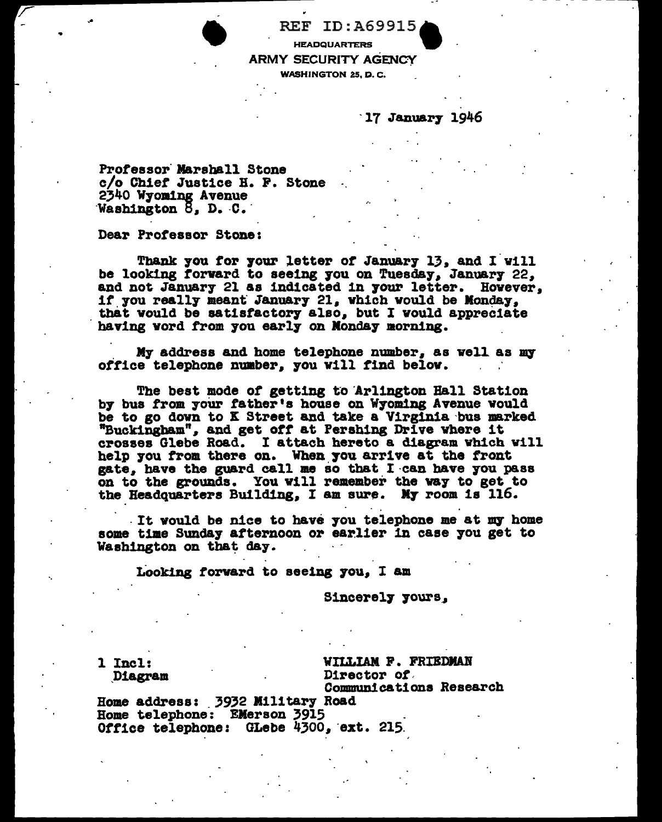**REF ID:A69915 HEADQUARTERS ARMY SECURITY AGENCY WASHINGTON 25, D.C.** 

17 January 1946

Professor Marshall Stone c/o Chief Justice H. F. Stone 2340 Wyoming Avenue Washington 8, D. C.

Dear Professor Stone:

Thank you for your letter of January 13, and I will be looking forward to seeing you on Tuesday, January 22, and not January 21 as indicated in your letter. However, if you really meant January 21, which would be Monday. that would be satisfactory also, but I would appreciate having vord from you early on Monday morning.

My address and home telephone number, as well as my office telephone number, you will find below.

The best mode of getting to Arlington Hall Station by bus from your father's house on Wyoming Avenue would be to go down to K Street and take a Virginia bus marked "Buckingham", and get off at Pershing Drive where it crosses Glebe Road. I attach hereto a diagram which will help you from there on. When you arrive at the front gate, have the guard call me so that I can have you pass on to the grounds. You will remember the way to get to the Headquarters Building, I am sure. My room is 116.

It would be nice to have you telephone me at my home some time Sunday afternoon or earlier in case you get to Washington on that day.

Looking forward to seeing you, I am

Sincerely yours,

1 Incl: Diagram WILLIAM F. FRIEDMAN Director of Communications Research

Home address: 3932 Military Road Home telephone: EMerson 3915 Office telephone: GLebe 4300, ext. 215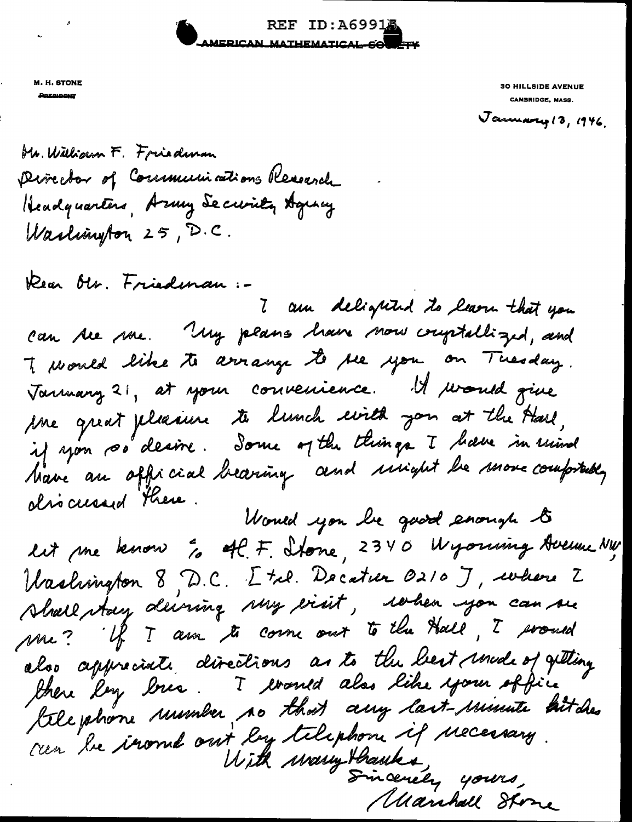REF ID: A6991 AMERICAN MATHEMATICAL SOWETY

M. H. STONE

**30 HILLSIDE AVENUE** CAMBRIDGE, MASS.

January 13, 1946.

Mr. William F. Friedman princetor of Communications Research Headquarters, Army Security Aguncy Washington 25, D.C.

Dear Olr. Friedman :-

7 am delighted to learn that you can be use. My plans have now couptablized, and To would like to arrange to be you on Tuesday. Varmany 21, at your convenience. It would give me great pleasure te lunch uils jon at the Hard, if you so desire. Some of the things I have in usind Marie au official bearing and unight be more comprably olso curred there.

Would you be good enough to lit me know " off F. Stone, 2340 Wyorking Avenue NW Washington 8, D.C. Etal. Decation 0210 J, where Z Shall stay deiving suy exist, when you can see me? If I am to come out to the Hall, I proud also appreciate directions as to the best mode of getting file phone unimber no that any last-minute bitches ren 'he iroml out ley telephone if necessary. With warmy thanks, yours, Manhall Stone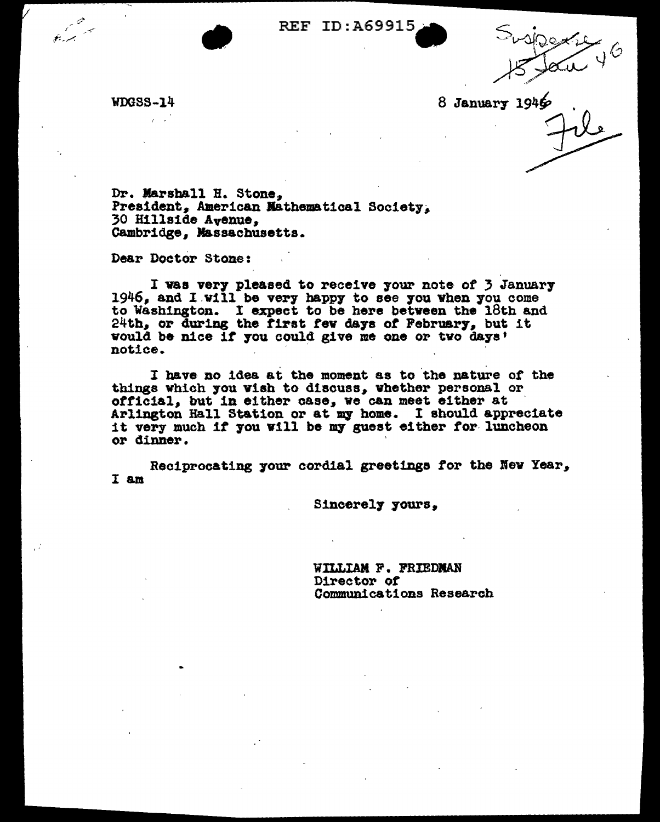WDGSS-14 8 January 1946

Dr. Marshall H. Stone, President, American Mathematical Society;<br>30 Hillside Avenue, Cambridge. Massachusetts.

Dear Doctor Stone:

..

I was very pleased to receive your note of 3 January 1946, and I will be very happy to see you when you come to Washington. I expect to be here between the 18th and 24th, or during the first few days of February, but it 24th, or during the first few days of February, but<br>vould be nice if you could give me one or tvo days' vould be nice if you could give me one or two days'<br>notice.

I have, no idea at tbe moment as to 'the nature of the things which you wish to discuss, whether personal or official, but in either case, we can meet either at Arlington Hall Station or at *my* home. I should appreciate it very much if you will be *my* guest either for- luncheon it very much if you will be my guest either for luncheon or dinner.

Reciprocating your cordial greetings tor the Kew Year, I am

Sineerel7 7ours.

WILLIAM F. FRIEDMAN Director *ot*  Communications Research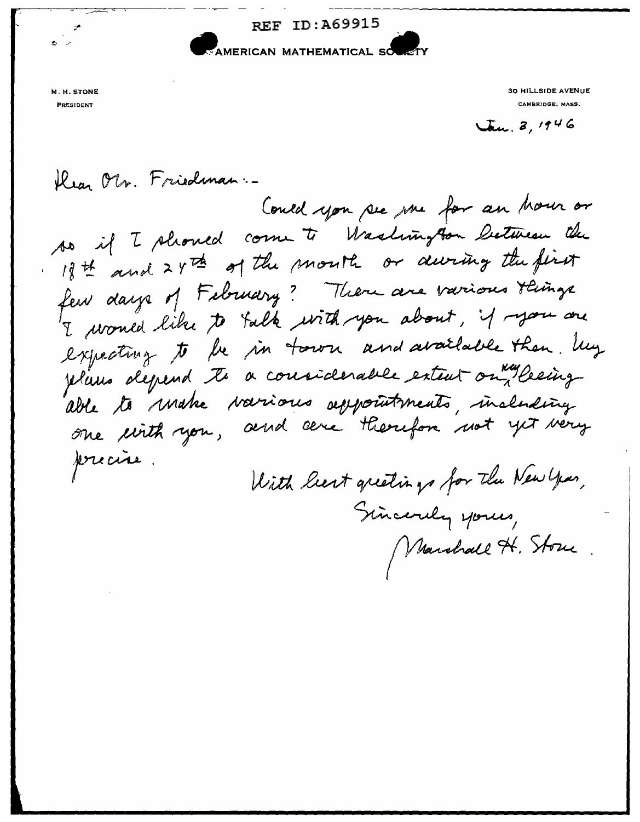

M. H. STONE **PRESIDENT** 

**30 HILLSIDE AVENUE** CAMBRIDGE, MASS.

 $\sqrt{a}u.3, 1946$ 

Marshall H. Store

Kear Ols. Friedman. Could you see me for an hour or so if I should come to Washington between the If it and 2 4th of the mouth or during the first few days of February? There are various things I woned like to talk with you about, if you are expecting to be in town and available then. My plans depend to a considerable extent on Ryleeing able to make various appointments, including one cirth you, and cere therefore not yet very precise. With liest greetings for the New Year, Sincerely yours,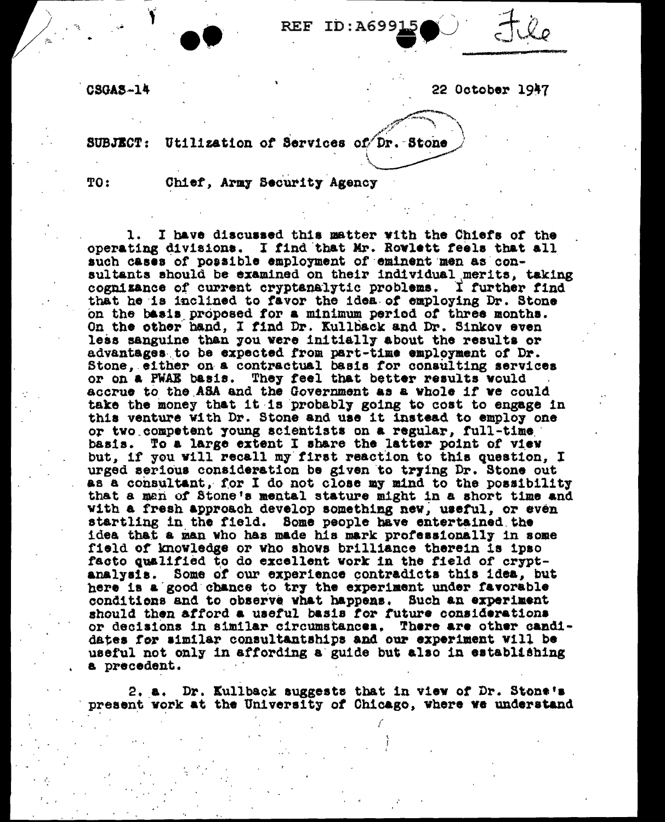**REF ID: A6991** 

**CSGAS-14** 

22 October 1947

SUBJECT: Utilization of Services of Dr. Stone

TO:

Chief, Army Security Agency

1. I have discussed this matter with the Chiefs of the operating divisions. I find that Mr. Rowlett feels that all such cases of possible employment of eminent men as consultants should be examined on their individual merits, taking cognizance of current cryptanalytic problems. I further find that he is inclined to favor the idea of employing Dr. Stone on the basis proposed for a minimum period of three months. On the other hand. I find Dr. Kullback and Dr. Sinkov even less sanguine than you were initially about the results or advantages to be expected from part-time employment of Dr. Stone, either on a contractual basis for consulting services or on a PWAE basis. They feel that better results would accrue to the ASA and the Government as a whole if we could take the money that it is probably going to cost to engage in this venture with Dr. Stone and use it instead to employ one or two competent young scientists on a regular, full-time basis. To a large extent I share the latter point of view but, if you will recall my first reaction to this question, I urged serious consideration be given to trying Dr. Stone out as a consultant, for I do not close my mind to the possibility that a man of Stone's mental stature might in a short time and with a fresh approach develop something new, useful, or even startling in the field. Some people have entertained the idea that a man who has made his mark professionally in some field of knowledge or who shows brilliance therein is ipso facto qualified to do excellent work in the field of cryptanalysis. Some of our experience contradicts this idea, but here is a good chance to try the experiment under favorable conditions and to observe what happens. Such an experiment should then afford a useful basis for future considerations or decisions in similar circumstances. There are other candidates for similar consultantships and our experiment will be useful not only in affording a guide but also in establishing a precedent.

2. a. Dr. Kullback suggests that in view of Dr. Stone's present work at the University of Chicago, where we understand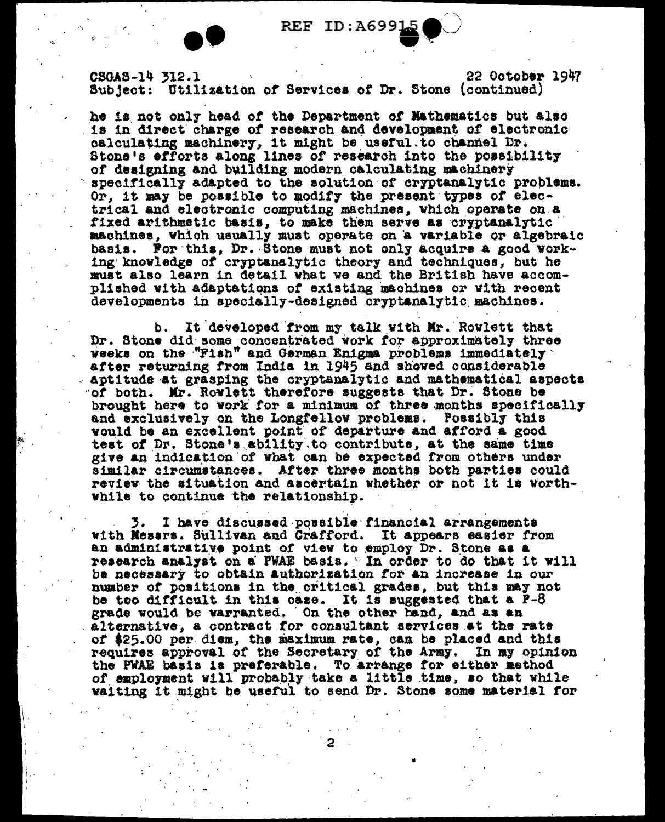22 October 1947 CSGAS-14 312.1 Subject: Utilization of Services of Dr. Stone (continued)

he is not only head of the Department of Mathematics but also is in direct charge of research and development of electronic calculating machinery, it might be useful to channel Dr. Stone's efforts along lines of research into the possibility of designing and building modern calculating machinery specifically adapted to the solution of cryptanalytic problems. Or, it may be possible to modify the present types of electrical and electronic computing machines, which operate on a fixed arithmetic basis, to make them serve as cryptanalytic machines, which usually must operate on a variable or algebraic basis. For this, Dr. Stone must not only acquire a good working knowledge of cryptanalytic theory and techniques, but he must also learn in detail what we and the British have accomplished with adaptations of existing machines or with recent developments in specially-designed cryptanalytic machines.

It developed from my talk with Mr. Rowlett that b. Dr. Stone did some concentrated work for approximately three weeks on the "Fish" and German Enigma problems immediately after returning from India in 1945 and showed considerable aptitude at grasping the cryptanalytic and mathematical aspects of both. Mr. Rowlett therefore suggests that Dr. Stone be brought here to work for a minimum of three months specifically and exclusively on the Longfellow problems. Possibly this vould be an excellent point of departure and afford a good test of Dr. Stone's ability to contribute, at the same time give an indication of what can be expected from others under similar circumstances. After three months both parties could review the situation and ascertain whether or not it is worthwhile to continue the relationship.

3. I have discussed possible financial arrangements with Messrs. Sullivan and Crafford. It appears easier from an administrative point of view to employ Dr. Stone as a research analyst on a PWAE basis. "In order to do that it will be necessary to obtain authorization for an increase in our number of positions in the critical grades, but this may not be too difficult in this case. It is suggested that a P-8 grade would be varranted. On the other hand, and as an alternative, a contract for consultant services at the rate of \$25.00 per diem, the maximum rate, can be placed and this requires approval of the Secretary of the Army. In my opinion the PWAE basis is preferable. To arrange for either method of employment will probably take a little time, so that while waiting it might be useful to send Dr. Stone some material for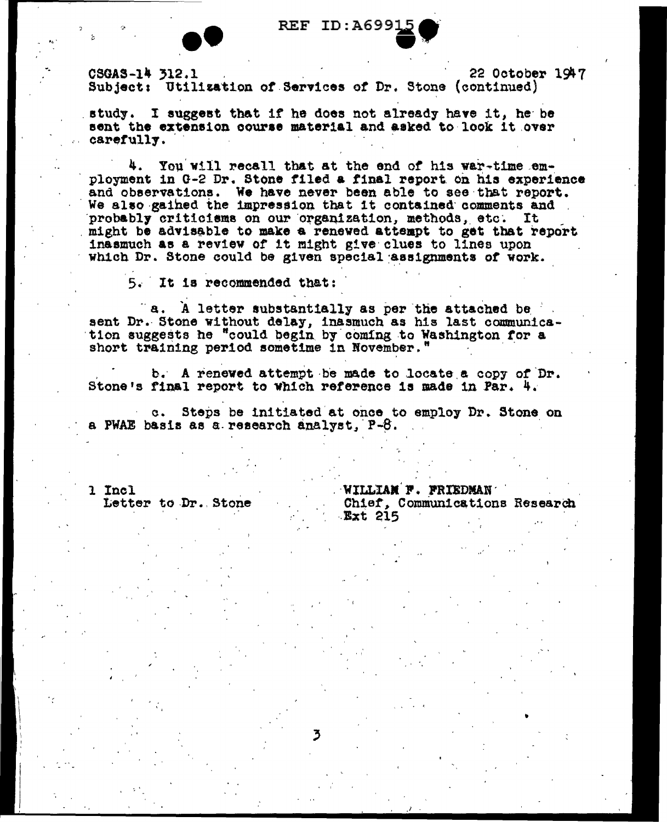

CSGAS-14 312.1 22 October 1947 Subject: Utilization of Services of Dr. Stone (continued)

study. I suggest that if he does not already have it. he be sent the extension course material and asked to look it over carefully.

4. You will recall that at the end of his war-time employment in G-2 Dr. Stone filed a final report on his experience and observations. We have never been able to see that report. We also gained the impression that it contained comments and probably criticisms on our organization, methods, etc. It might be advisable to make a renewed attempt to get that report inasmuch as a review of it might give clues to lines upon which Dr. Stone could be given special assignments of work.

5. It is recommended that:

"a. A letter substantially as per the attached be sent Dr. Stone without delay, inasmuch as his last communication suggests he "could begin by coming to Washington for a short training period sometime in November."

b. A renewed attempt be made to locate a copy of Dr. Stone's final report to which reference is made in Par. 4.

c. Steps be initiated at once to employ Dr. Stone on a PWAE basis as a research analyst. P-8.

1 Incl Letter to Dr. Stone WILLIAM F. FRIEDMAN

Chief, Communications Research **Ext 215**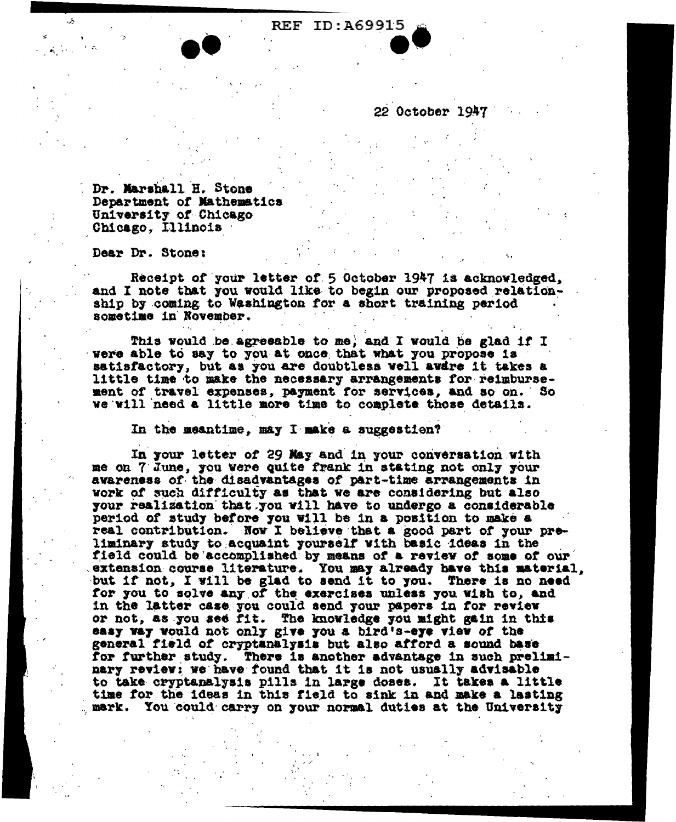22 October 1947

Dr. Marshall H. Stone Department of Mathematics University of Chicago Chicago, Illinois

Dear Dr. Stone:

Receipt of your letter of 5 October 1947 is acknowledged, and I note that you would like to begin our proposed relationship by coming to Washington for a short training period sometime in November.

This would be agreeable to me, and I would be glad if I were able to say to you at once that what you propose is satisfactory, but as you are doubtless well awdre it takes a little time to make the necessary arrangements for reimbursement of travel expenses, payment for services, and so on. So we will need a little more time to complete those details.

In the meantime, may I make a suggestion?

In your letter of 29 May and in your conversation with me on 7 June, you were quite frank in stating not only your awareness of the disadvantages of part-time arrangements in work of such difficulty as that we are considering but also your realization that you will have to undergo a considerable period of study before you will be in a position to make a real contribution. Now I believe that a good part of your preliminary study to acquaint yourself with basic ideas in the field could be accomplished by means of a review of some of our extension course literature. You may already have this material, but if not, I will be glad to send it to you. There is no need for you to solve any of the exercises unless you wish to, and in the latter case you could send your papers in for review or not, as you see fit. The knowledge you might gain in this easy way would not only give you a bird's-eye view of the general field of cryptanalysis but also afford a sound base for further study. There is another advantage in such preliminary review: we have found that it is not usually advisable to take cryptanalysis pills in large doses. It takes a little time for the ideas in this field to sink in and make a lasting mark. You could carry on your normal duties at the University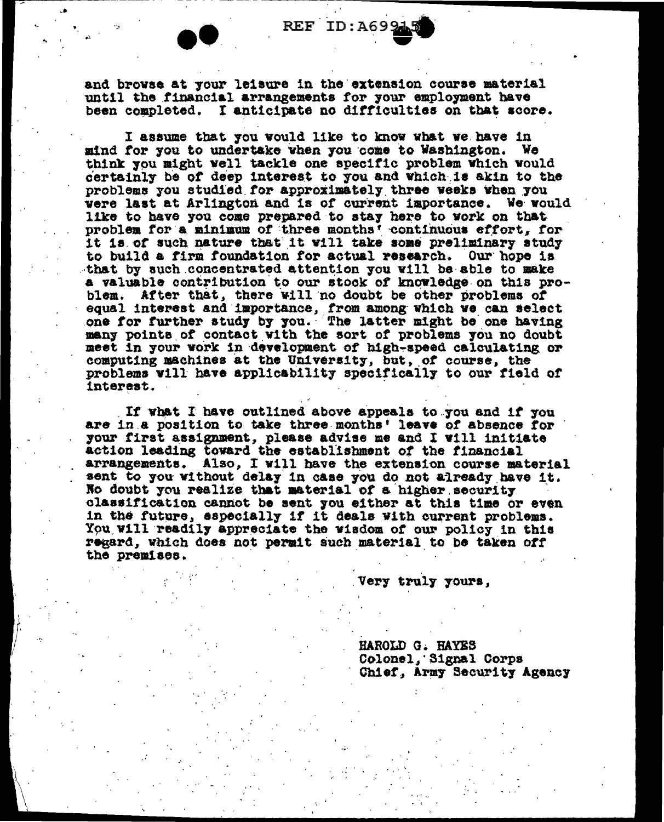and browse at your leisure in the extension course material until the financial arrangements for your employment have been completed. I anticipate no difficulties on that score.

I assume that you would like to know what we have in mind for you to undertake when you come to Washington. We think you might well tackle one specific problem which would certainly be of deep interest to you and which is akin to the problems you studied for approximately three weeks when you were last at Arlington and is of current importance. We would like to have you come prepared to stay here to work on that problem for a minimum of three months' continuous effort, for it is of such nature that it will take some preliminary study to build a firm foundation for actual research. Our hope is that by such concentrated attention you will be able to make a valuable contribution to our stock of knowledge on this problem. After that, there will no doubt be other problems of equal interest and importance, from among which we can select one for further study by you. The latter might be one having many points of contact with the sort of problems you no doubt meet in your work in development of high-speed calculating or computing machines at the University, but, of course, the problems will have applicability specifically to our field of interest.

If what I have outlined above appeals to you and if you are in a position to take three months' leave of absence for your first assignment, please advise me and I will initiate action leading toward the establishment of the financial arrangements. Also, I will have the extension course material sent to you without delay in case you do not already have it. No doubt you realize that material of a higher security classification cannot be sent you either at this time or even in the future, especially if it deals with current problems. You will readily appreciate the wisdom of our policy in this regard, which does not permit such material to be taken off the premises.

Very truly yours,

HAROLD G. HAYES Colonel, Signal Corps Chief, Army Security Agency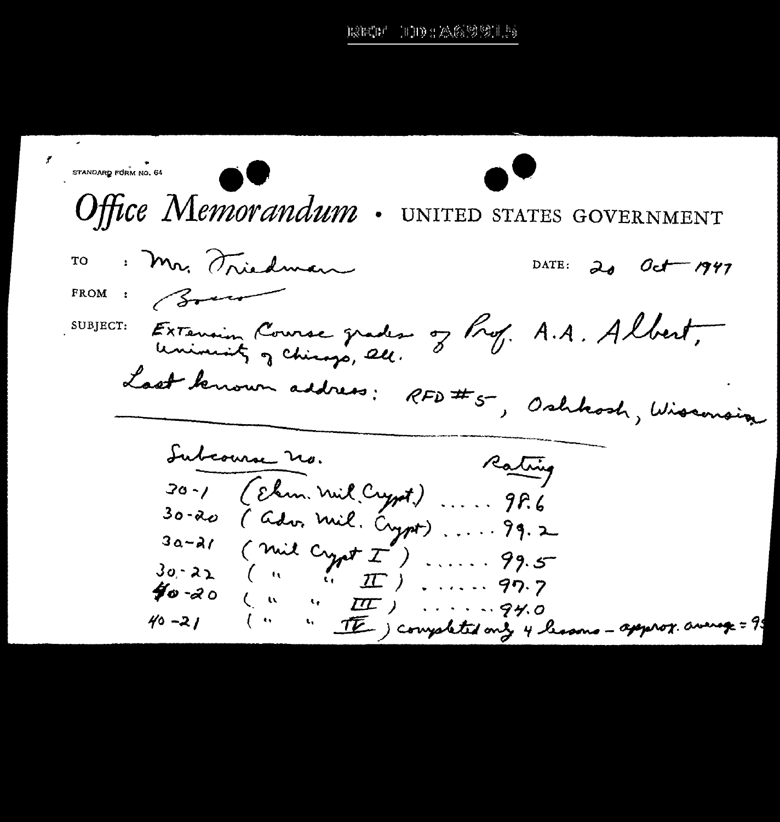100: A62215 rarcer

¥ STANDARD FORM NO. 64 Office Memorandum. UNITED STATES GOVERNMENT : Mr. Triedman **TO** DATE:  $20$  $O_{C}$ - 1947 FROM :  $\beta$ SUBJECT: EXTENsion Course grades of Prof. A.A. Albert, Last benown address: RFD#5, Oshbosh, Wisconsin Subcourse no. Rating (Ehm. nul Crypt) ..... 98.6  $30 - 1$ (ador mil. Crypt) ..... 99.2  $30 - a$  $3a-21$  (mil  $C_{\gamma\rho}tT'$ ) ...... 99.5  $40 - 20$  $(4 - 4 - \pi)$  ...... 94.0  $40 - 21$  $\begin{pmatrix} 1 & 0 & 0 \\ 0 & 0 & 0 \\ 0 & 0 & 0 \end{pmatrix}$ " IE ) completed only 4 lessons - apperox. average = 95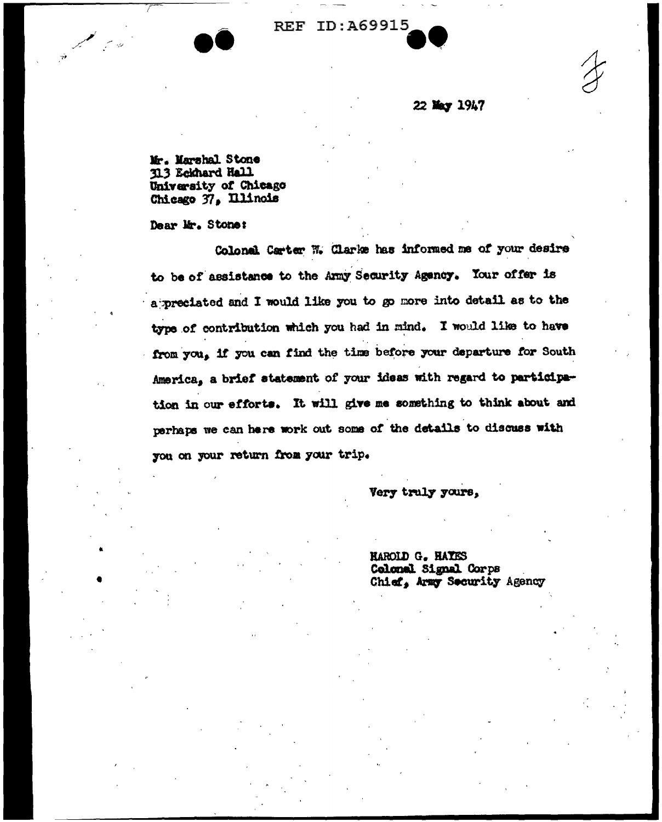### 22 May 1947

Mr. Marshal Stone 313 Eckhard Hall University of Chicago Chicago 37, Illinois

Dear Mr. Stone:

Colonal Carter W. Clarke has informed me of your desire to be of assistance to the Army Security Agency. Your offer is a preciated and I would like you to go more into detail as to the type of contribution which you had in mind. I would like to have from you, if you can find the time before your departure for South America, a brief statement of your ideas with regard to participation in our efforts. It will give me something to think about and perhaps we can here work out some of the details to discuss with you on your return from your trip.

Very truly yours,

**HAROLD G. HAYES** Colonal Signal Corps Chief, Army Security Agency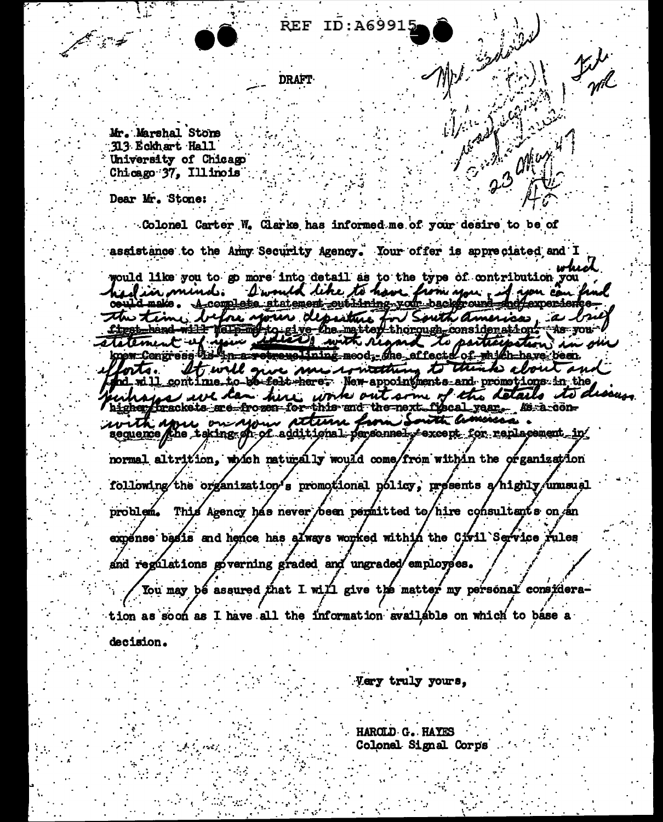**DRAFT** 

Mr. Marshal Stone 313 Eckhart Hall University of Chicago Chicago 37. Illinois

Dear Mr. Stone:

Colonel Carter W. Clarke has informed me of your desire to be of assistance to the Anny Security Agency. Your offer is appreciated and I لممعاس

2.3 Min.

would like you to go more into detail as to the type of contribution you hed in mind. I would like to have firm you if you can find the time before your depenture for South America, a big et the hand with the matter consideration. As you Yorts. It will give me concettuing to think about and hd\_will\_continue\_to\_bot\_felt\_here; New-appointments\_and promotions in the uhopes we can here work out some of the details to de higher brackets are frozen for this and the next fiscal year. As a conwith spre on your attenu from South america. normal altrition, which naturally would come/from within the organization following the organization's promotional policy, presents a highly unusual problem. This Agency has never been permitted to/hire consultants on an expense besis and hence has always worked within the Civil Service rules and regulations governing graded and ungraded employees. You may bé assured that I will give the matter my personal considera-

tion as soon as I have all the information available on which to base a decision.

Very truly yours,

HARCLD G. HAYES Colonel Signal Corps